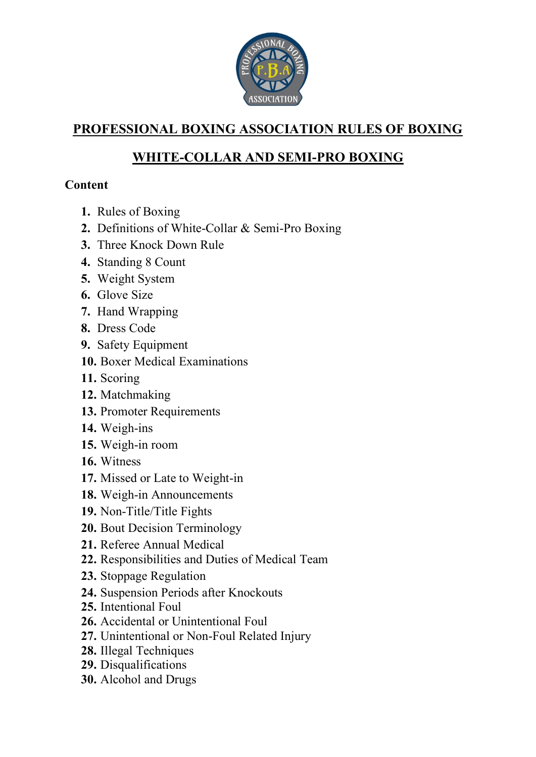

# **PROFESSIONAL BOXING ASSOCIATION RULES OF BOXING**

# **WHITE-COLLAR AND SEMI-PRO BOXING**

## **Content**

- **1.** Rules of Boxing
- **2.** Definitions of White-Collar & Semi-Pro Boxing
- **3.** Three Knock Down Rule
- **4.** Standing 8 Count
- **5.** Weight System
- **6.** Glove Size
- **7.** Hand Wrapping
- **8.** Dress Code
- **9.** Safety Equipment
- **10.** Boxer Medical Examinations
- **11.** Scoring
- **12.** Matchmaking
- **13.** Promoter Requirements
- **14.** Weigh-ins
- **15.** Weigh-in room
- **16.** Witness
- **17.** Missed or Late to Weight-in
- **18.** Weigh-in Announcements
- **19.** Non-Title/Title Fights
- **20.** Bout Decision Terminology
- **21.** Referee Annual Medical
- **22.** Responsibilities and Duties of Medical Team
- **23.** Stoppage Regulation
- **24.** Suspension Periods after Knockouts
- **25.** Intentional Foul
- **26.** Accidental or Unintentional Foul
- **27.** Unintentional or Non-Foul Related Injury
- **28.** Illegal Techniques
- **29.** Disqualifications
- **30.** Alcohol and Drugs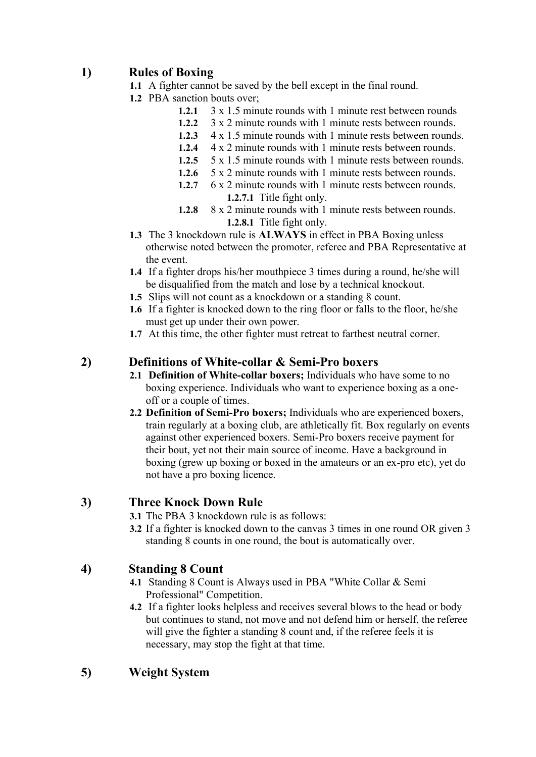## **1) Rules of Boxing**

- **1.1** A fighter cannot be saved by the bell except in the final round.
- **1.2** PBA sanction bouts over;
	- **1.2.1** 3 x 1.5 minute rounds with 1 minute rest between rounds
	- **1.2.2** 3 x 2 minute rounds with 1 minute rests between rounds.
	- **1.2.3** 4 x 1.5 minute rounds with 1 minute rests between rounds.
	- **1.2.4** 4 x 2 minute rounds with 1 minute rests between rounds.
	- **1.2.5** 5 x 1.5 minute rounds with 1 minute rests between rounds.
	- **1.2.6** 5 x 2 minute rounds with 1 minute rests between rounds.
	- **1.2.7** 6 x 2 minute rounds with 1 minute rests between rounds. **1.2.7.1** Title fight only.
	- **1.2.8** 8 x 2 minute rounds with 1 minute rests between rounds. **1.2.8.1** Title fight only.
- **1.3** The 3 knockdown rule is **ALWAYS** in effect in PBA Boxing unless otherwise noted between the promoter, referee and PBA Representative at the event.
- **1.4** If a fighter drops his/her mouthpiece 3 times during a round, he/she will be disqualified from the match and lose by a technical knockout.
- **1.5** Slips will not count as a knockdown or a standing 8 count.
- **1.6** If a fighter is knocked down to the ring floor or falls to the floor, he/she must get up under their own power.
- **1.7** At this time, the other fighter must retreat to farthest neutral corner.

## **2) Definitions of White-collar & Semi-Pro boxers**

- **2.1 Definition of White-collar boxers;** Individuals who have some to no boxing experience. Individuals who want to experience boxing as a oneoff or a couple of times.
- **2.2 Definition of Semi-Pro boxers;** Individuals who are experienced boxers, train regularly at a boxing club, are athletically fit. Box regularly on events against other experienced boxers. Semi-Pro boxers receive payment for their bout, yet not their main source of income. Have a background in boxing (grew up boxing or boxed in the amateurs or an ex-pro etc), yet do not have a pro boxing licence.

## **3) Three Knock Down Rule**

- **3.1** The PBA 3 knockdown rule is as follows:
- **3.2** If a fighter is knocked down to the canvas 3 times in one round OR given 3 standing 8 counts in one round, the bout is automatically over.

## **4) Standing 8 Count**

- **4.1** Standing 8 Count is Always used in PBA "White Collar & Semi Professional" Competition.
- **4.2** If a fighter looks helpless and receives several blows to the head or body but continues to stand, not move and not defend him or herself, the referee will give the fighter a standing 8 count and, if the referee feels it is necessary, may stop the fight at that time.

## **5) Weight System**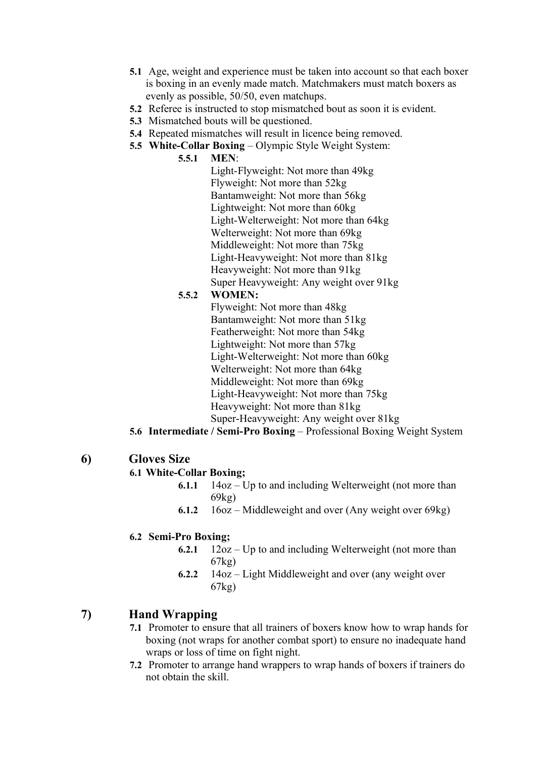- **5.1** Age, weight and experience must be taken into account so that each boxer is boxing in an evenly made match. Matchmakers must match boxers as evenly as possible, 50/50, even matchups.
- **5.2** Referee is instructed to stop mismatched bout as soon it is evident.
- **5.3** Mismatched bouts will be questioned.
- **5.4** Repeated mismatches will result in licence being removed.
- **5.5 White-Collar Boxing** Olympic Style Weight System:

#### **5.5.1 MEN**:

Light-Flyweight: Not more than 49kg Flyweight: Not more than 52kg Bantamweight: Not more than 56kg Lightweight: Not more than 60kg Light-Welterweight: Not more than 64kg Welterweight: Not more than 69kg Middleweight: Not more than 75kg Light-Heavyweight: Not more than 81kg Heavyweight: Not more than 91kg Super Heavyweight: Any weight over 91kg

#### **5.5.2 WOMEN:**

Flyweight: Not more than 48kg Bantamweight: Not more than 51kg Featherweight: Not more than 54kg Lightweight: Not more than 57kg Light-Welterweight: Not more than 60kg Welterweight: Not more than 64kg Middleweight: Not more than 69kg Light-Heavyweight: Not more than 75kg Heavyweight: Not more than 81kg Super-Heavyweight: Any weight over 81kg

- **5.6 Intermediate / Semi-Pro Boxing** Professional Boxing Weight System
- **6) Gloves Size**

#### **6.1 White-Collar Boxing;**

- **6.1.1** 14oz Up to and including Welterweight (not more than 69kg)
- **6.1.2** 16oz Middleweight and over (Any weight over 69kg)

#### **6.2 Semi-Pro Boxing;**

- **6.2.1** 12oz Up to and including Welterweight (not more than 67kg)
- **6.2.2** 14oz Light Middleweight and over (any weight over 67kg)

## **7) Hand Wrapping**

- **7.1** Promoter to ensure that all trainers of boxers know how to wrap hands for boxing (not wraps for another combat sport) to ensure no inadequate hand wraps or loss of time on fight night.
- **7.2** Promoter to arrange hand wrappers to wrap hands of boxers if trainers do not obtain the skill.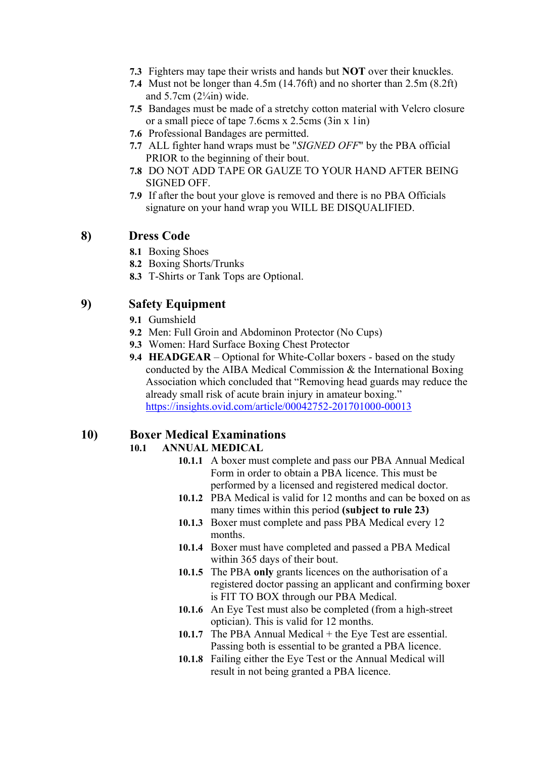- **7.3** Fighters may tape their wrists and hands but **NOT** over their knuckles.
- **7.4** Must not be longer than 4.5m (14.76ft) and no shorter than 2.5m (8.2ft) and  $5.7cm$  ( $2\frac{1}{4}$ in) wide.
- **7.5** Bandages must be made of a stretchy cotton material with Velcro closure or a small piece of tape 7.6cms x 2.5cms (3in x 1in)
- **7.6** Professional Bandages are permitted.
- **7.7** ALL fighter hand wraps must be "*SIGNED OFF*" by the PBA official PRIOR to the beginning of their bout.
- **7.8** DO NOT ADD TAPE OR GAUZE TO YOUR HAND AFTER BEING SIGNED OFF.
- **7.9** If after the bout your glove is removed and there is no PBA Officials signature on your hand wrap you WILL BE DISQUALIFIED.

## **8) Dress Code**

- **8.1** Boxing Shoes
- **8.2** Boxing Shorts/Trunks
- **8.3** T-Shirts or Tank Tops are Optional.

## **9) Safety Equipment**

- **9.1** Gumshield
- **9.2** Men: Full Groin and Abdominon Protector (No Cups)
- **9.3** Women: Hard Surface Boxing Chest Protector
- **9.4 HEADGEAR**  Optional for White-Collar boxers based on the study conducted by the AIBA Medical Commission & the International Boxing Association which concluded that "Removing head guards may reduce the already small risk of acute brain injury in amateur boxing." <https://insights.ovid.com/article/00042752-201701000-00013>

## **10) Boxer Medical Examinations**

#### **10.1 ANNUAL MEDICAL**

- **10.1.1** A boxer must complete and pass our PBA Annual Medical Form in order to obtain a PBA licence. This must be performed by a licensed and registered medical doctor.
- **10.1.2** PBA Medical is valid for 12 months and can be boxed on as many times within this period **(subject to rule 23)**
- **10.1.3** Boxer must complete and pass PBA Medical every 12 months.
- **10.1.4** Boxer must have completed and passed a PBA Medical within 365 days of their bout.
- **10.1.5** The PBA **only** grants licences on the authorisation of a registered doctor passing an applicant and confirming boxer is FIT TO BOX through our PBA Medical.
- **10.1.6** An Eye Test must also be completed (from a high-street optician). This is valid for 12 months.
- **10.1.7** The PBA Annual Medical + the Eye Test are essential. Passing both is essential to be granted a PBA licence.
- **10.1.8** Failing either the Eye Test or the Annual Medical will result in not being granted a PBA licence.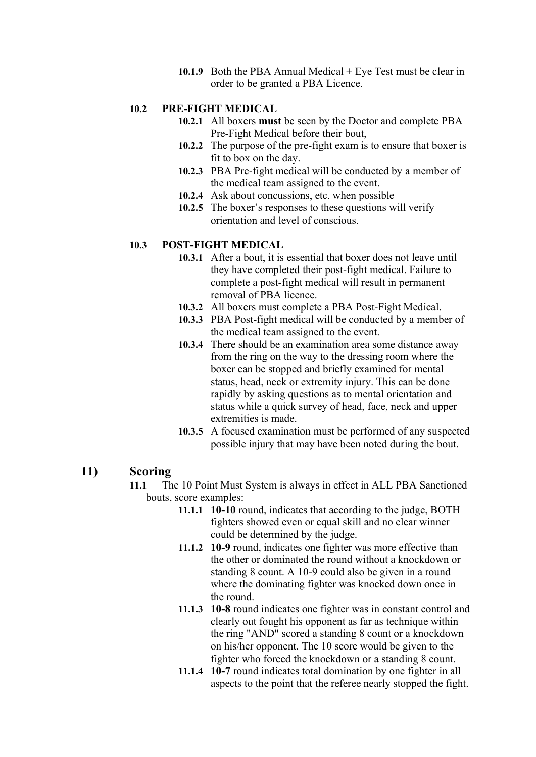**10.1.9** Both the PBA Annual Medical + Eye Test must be clear in order to be granted a PBA Licence.

#### **10.2 PRE-FIGHT MEDICAL**

- **10.2.1** All boxers **must** be seen by the Doctor and complete PBA Pre-Fight Medical before their bout,
- **10.2.2** The purpose of the pre-fight exam is to ensure that boxer is fit to box on the day.
- **10.2.3** PBA Pre-fight medical will be conducted by a member of the medical team assigned to the event.
- **10.2.4** Ask about concussions, etc. when possible
- **10.2.5** The boxer's responses to these questions will verify orientation and level of conscious.

#### **10.3 POST-FIGHT MEDICAL**

- **10.3.1** After a bout, it is essential that boxer does not leave until they have completed their post-fight medical. Failure to complete a post-fight medical will result in permanent removal of PBA licence.
- **10.3.2** All boxers must complete a PBA Post-Fight Medical.
- **10.3.3** PBA Post-fight medical will be conducted by a member of the medical team assigned to the event.
- **10.3.4** There should be an examination area some distance away from the ring on the way to the dressing room where the boxer can be stopped and briefly examined for mental status, head, neck or extremity injury. This can be done rapidly by asking questions as to mental orientation and status while a quick survey of head, face, neck and upper extremities is made.
- **10.3.5** A focused examination must be performed of any suspected possible injury that may have been noted during the bout.

#### **11) Scoring**

- **11.1** The 10 Point Must System is always in effect in ALL PBA Sanctioned bouts, score examples:
	- **11.1.1 10-10** round, indicates that according to the judge, BOTH fighters showed even or equal skill and no clear winner could be determined by the judge.
	- **11.1.2 10-9** round, indicates one fighter was more effective than the other or dominated the round without a knockdown or standing 8 count. A 10-9 could also be given in a round where the dominating fighter was knocked down once in the round.
	- **11.1.3 10-8** round indicates one fighter was in constant control and clearly out fought his opponent as far as technique within the ring "AND" scored a standing 8 count or a knockdown on his/her opponent. The 10 score would be given to the fighter who forced the knockdown or a standing 8 count.
	- **11.1.4 10-7** round indicates total domination by one fighter in all aspects to the point that the referee nearly stopped the fight.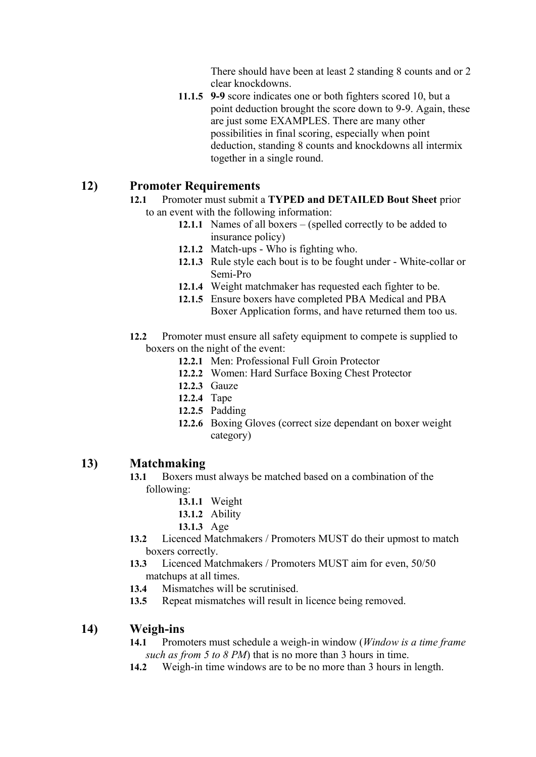There should have been at least 2 standing 8 counts and or 2 clear knockdowns.

**11.1.5 9-9** score indicates one or both fighters scored 10, but a point deduction brought the score down to 9-9. Again, these are just some EXAMPLES. There are many other possibilities in final scoring, especially when point deduction, standing 8 counts and knockdowns all intermix together in a single round.

### **12) Promoter Requirements**

- **12.1** Promoter must submit a **TYPED and DETAILED Bout Sheet** prior to an event with the following information:
	- **12.1.1** Names of all boxers (spelled correctly to be added to insurance policy)
	- **12.1.2** Match-ups Who is fighting who.
	- **12.1.3** Rule style each bout is to be fought under White-collar or Semi-Pro
	- **12.1.4** Weight matchmaker has requested each fighter to be.
	- **12.1.5** Ensure boxers have completed PBA Medical and PBA Boxer Application forms, and have returned them too us.
- **12.2** Promoter must ensure all safety equipment to compete is supplied to boxers on the night of the event:
	- **12.2.1** Men: Professional Full Groin Protector
	- **12.2.2** Women: Hard Surface Boxing Chest Protector
	- **12.2.3** Gauze
	- **12.2.4** Tape
	- **12.2.5** Padding
	- **12.2.6** Boxing Gloves (correct size dependant on boxer weight category)

#### **13) Matchmaking**

- **13.1** Boxers must always be matched based on a combination of the following:
	- **13.1.1** Weight
	- **13.1.2** Ability
	- **13.1.3** Age
- **13.2** Licenced Matchmakers / Promoters MUST do their upmost to match boxers correctly.
- **13.3** Licenced Matchmakers / Promoters MUST aim for even, 50/50 matchups at all times.
- **13.4** Mismatches will be scrutinised.
- **13.5** Repeat mismatches will result in licence being removed.

## **14) Weigh-ins**

- **14.1** Promoters must schedule a weigh-in window (*Window is a time frame such as from 5 to 8 PM*) that is no more than 3 hours in time.
- **14.2** Weigh-in time windows are to be no more than 3 hours in length.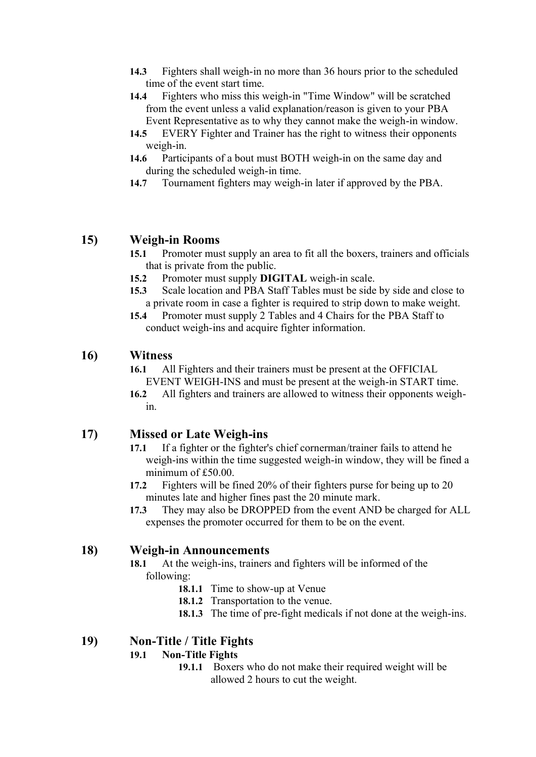- **14.3** Fighters shall weigh-in no more than 36 hours prior to the scheduled time of the event start time.
- **14.4** Fighters who miss this weigh-in "Time Window" will be scratched from the event unless a valid explanation/reason is given to your PBA Event Representative as to why they cannot make the weigh-in window.
- **14.5** EVERY Fighter and Trainer has the right to witness their opponents weigh-in.
- **14.6** Participants of a bout must BOTH weigh-in on the same day and during the scheduled weigh-in time.
- **14.7** Tournament fighters may weigh-in later if approved by the PBA.

## **15) Weigh-in Rooms**

- **15.1** Promoter must supply an area to fit all the boxers, trainers and officials that is private from the public.
- **15.2** Promoter must supply **DIGITAL** weigh-in scale.
- **15.3** Scale location and PBA Staff Tables must be side by side and close to a private room in case a fighter is required to strip down to make weight.
- **15.4** Promoter must supply 2 Tables and 4 Chairs for the PBA Staff to conduct weigh-ins and acquire fighter information.

## **16) Witness**

- **16.1** All Fighters and their trainers must be present at the OFFICIAL EVENT WEIGH-INS and must be present at the weigh-in START time.
- **16.2** All fighters and trainers are allowed to witness their opponents weighin.

## **17) Missed or Late Weigh-ins**

- **17.1** If a fighter or the fighter's chief cornerman/trainer fails to attend he weigh-ins within the time suggested weigh-in window, they will be fined a minimum of £50.00.
- **17.2** Fighters will be fined 20% of their fighters purse for being up to 20 minutes late and higher fines past the 20 minute mark.
- **17.3** They may also be DROPPED from the event AND be charged for ALL expenses the promoter occurred for them to be on the event.

## **18) Weigh-in Announcements**

- **18.1** At the weigh-ins, trainers and fighters will be informed of the following:
	- **18.1.1** Time to show-up at Venue
	- **18.1.2** Transportation to the venue.
	- **18.1.3** The time of pre-fight medicals if not done at the weigh-ins.

## **19) Non-Title / Title Fights**

## **19.1 Non-Title Fights**

**19.1.1** Boxers who do not make their required weight will be allowed 2 hours to cut the weight.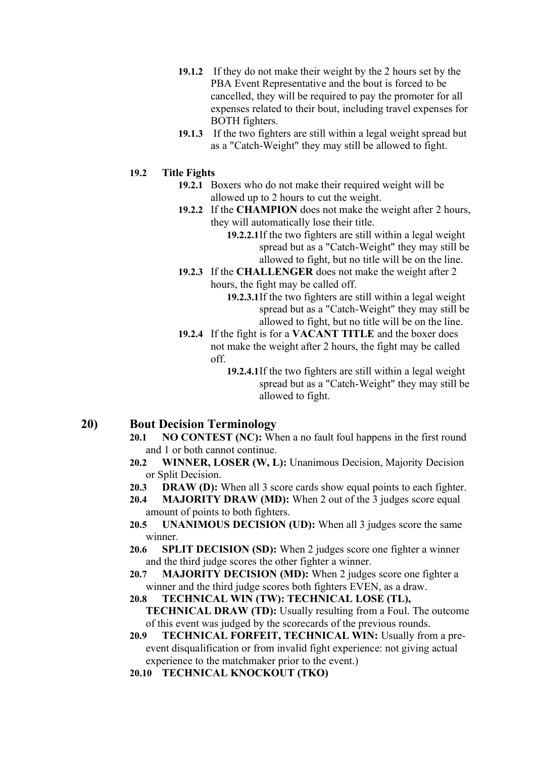- **19.1.2** If they do not make their weight by the 2 hours set by the PBA Event Representative and the bout is forced to be cancelled, they will be required to pay the promoter for all expenses related to their bout, including travel expenses for BOTH fighters.
- **19.1.3** If the two fighters are still within a legal weight spread but as a "Catch-Weight" they may still be allowed to fight.

#### **19.2 Title Fights**

- **19.2.1** Boxers who do not make their required weight will be allowed up to 2 hours to cut the weight.
- **19.2.2** If the **CHAMPION** does not make the weight after 2 hours, they will automatically lose their title.
	- **19.2.2.1**If the two fighters are still within a legal weight spread but as a "Catch-Weight" they may still be allowed to fight, but no title will be on the line.
- **19.2.3** If the **CHALLENGER** does not make the weight after 2 hours, the fight may be called off.
	- **19.2.3.1**If the two fighters are still within a legal weight spread but as a "Catch-Weight" they may still be allowed to fight, but no title will be on the line.
- **19.2.4** If the fight is for a **VACANT TITLE** and the boxer does not make the weight after 2 hours, the fight may be called off.
	- **19.2.4.1**If the two fighters are still within a legal weight spread but as a "Catch-Weight" they may still be allowed to fight.

#### **20) Bout Decision Terminology**

- **20.1 NO CONTEST (NC):** When a no fault foul happens in the first round and 1 or both cannot continue.
- **20.2 WINNER, LOSER (W, L):** Unanimous Decision, Majority Decision or Split Decision.
- **20.3 DRAW (D):** When all 3 score cards show equal points to each fighter.
- **20.4 MAJORITY DRAW (MD):** When 2 out of the 3 judges score equal amount of points to both fighters.
- **20.5 UNANIMOUS DECISION (UD):** When all 3 judges score the same winner.
- **20.6 SPLIT DECISION (SD):** When 2 judges score one fighter a winner and the third judge scores the other fighter a winner.
- **20.7 MAJORITY DECISION (MD):** When 2 judges score one fighter a winner and the third judge scores both fighters EVEN, as a draw.
- **20.8 TECHNICAL WIN (TW): TECHNICAL LOSE (TL), TECHNICAL DRAW (TD):** Usually resulting from a Foul. The outcome of this event was judged by the scorecards of the previous rounds.
- **20.9 TECHNICAL FORFEIT, TECHNICAL WIN:** Usually from a preevent disqualification or from invalid fight experience: not giving actual experience to the matchmaker prior to the event.)
- **20.10 TECHNICAL KNOCKOUT (TKO)**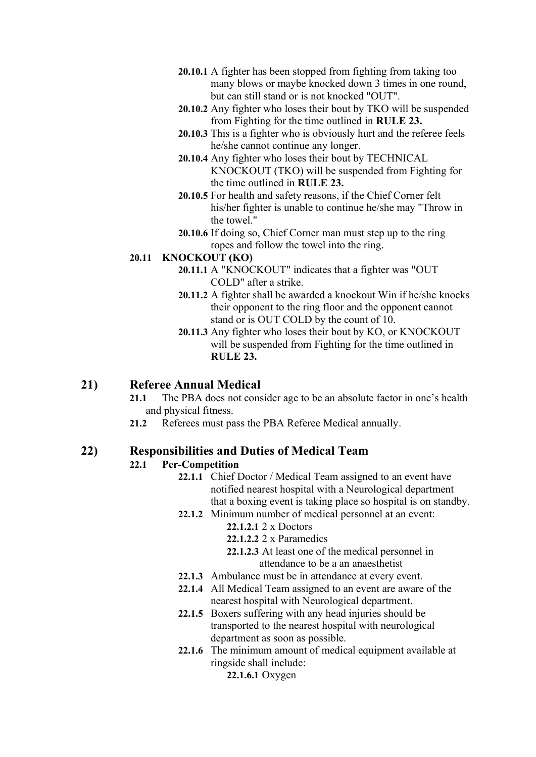- **20.10.1** A fighter has been stopped from fighting from taking too many blows or maybe knocked down 3 times in one round, but can still stand or is not knocked "OUT".
- **20.10.2** Any fighter who loses their bout by TKO will be suspended from Fighting for the time outlined in **RULE 23.**
- **20.10.3** This is a fighter who is obviously hurt and the referee feels he/she cannot continue any longer.
- **20.10.4** Any fighter who loses their bout by TECHNICAL KNOCKOUT (TKO) will be suspended from Fighting for the time outlined in **RULE 23.**
- **20.10.5** For health and safety reasons, if the Chief Corner felt his/her fighter is unable to continue he/she may "Throw in the towel."
- **20.10.6** If doing so, Chief Corner man must step up to the ring ropes and follow the towel into the ring.

#### **20.11 KNOCKOUT (KO)**

- **20.11.1** A "KNOCKOUT" indicates that a fighter was "OUT COLD" after a strike.
- **20.11.2** A fighter shall be awarded a knockout Win if he/she knocks their opponent to the ring floor and the opponent cannot stand or is OUT COLD by the count of 10.
- **20.11.3** Any fighter who loses their bout by KO, or KNOCKOUT will be suspended from Fighting for the time outlined in **RULE 23.**

## **21) Referee Annual Medical**

- **21.1** The PBA does not consider age to be an absolute factor in one's health and physical fitness.
- **21.2** Referees must pass the PBA Referee Medical annually.

#### **22) Responsibilities and Duties of Medical Team**

#### **22.1 Per-Competition**

- **22.1.1** Chief Doctor / Medical Team assigned to an event have notified nearest hospital with a Neurological department that a boxing event is taking place so hospital is on standby.
- **22.1.2** Minimum number of medical personnel at an event: **22.1.2.1** 2 x Doctors
	- **22.1.2.2** 2 x Paramedics
	- **22.1.2.3** At least one of the medical personnel in attendance to be a an anaesthetist
- **22.1.3** Ambulance must be in attendance at every event.
- **22.1.4** All Medical Team assigned to an event are aware of the nearest hospital with Neurological department.
- **22.1.5** Boxers suffering with any head injuries should be transported to the nearest hospital with neurological department as soon as possible.
- **22.1.6** The minimum amount of medical equipment available at ringside shall include:

**22.1.6.1** Oxygen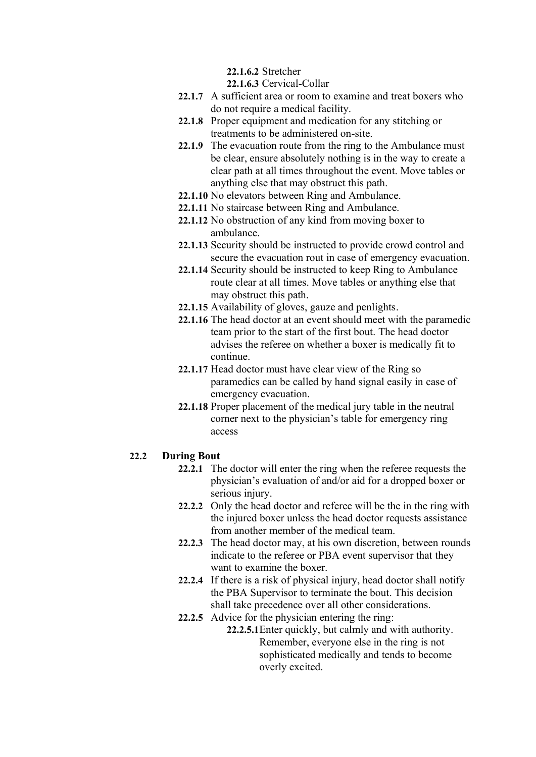**22.1.6.2** Stretcher

**22.1.6.3** Cervical-Collar

- **22.1.7** A sufficient area or room to examine and treat boxers who do not require a medical facility.
- **22.1.8** Proper equipment and medication for any stitching or treatments to be administered on-site.
- **22.1.9** The evacuation route from the ring to the Ambulance must be clear, ensure absolutely nothing is in the way to create a clear path at all times throughout the event. Move tables or anything else that may obstruct this path.
- **22.1.10** No elevators between Ring and Ambulance.
- **22.1.11** No staircase between Ring and Ambulance.
- **22.1.12** No obstruction of any kind from moving boxer to ambulance.
- **22.1.13** Security should be instructed to provide crowd control and secure the evacuation rout in case of emergency evacuation.
- **22.1.14** Security should be instructed to keep Ring to Ambulance route clear at all times. Move tables or anything else that may obstruct this path.
- **22.1.15** Availability of gloves, gauze and penlights.
- **22.1.16** The head doctor at an event should meet with the paramedic team prior to the start of the first bout. The head doctor advises the referee on whether a boxer is medically fit to continue.
- **22.1.17** Head doctor must have clear view of the Ring so paramedics can be called by hand signal easily in case of emergency evacuation.
- **22.1.18** Proper placement of the medical jury table in the neutral corner next to the physician's table for emergency ring access

#### **22.2 During Bout**

- **22.2.1** The doctor will enter the ring when the referee requests the physician's evaluation of and/or aid for a dropped boxer or serious injury.
- **22.2.2** Only the head doctor and referee will be the in the ring with the injured boxer unless the head doctor requests assistance from another member of the medical team.
- **22.2.3** The head doctor may, at his own discretion, between rounds indicate to the referee or PBA event supervisor that they want to examine the boxer.
- **22.2.4** If there is a risk of physical injury, head doctor shall notify the PBA Supervisor to terminate the bout. This decision shall take precedence over all other considerations.
- **22.2.5** Advice for the physician entering the ring:
	- **22.2.5.1**Enter quickly, but calmly and with authority. Remember, everyone else in the ring is not sophisticated medically and tends to become overly excited.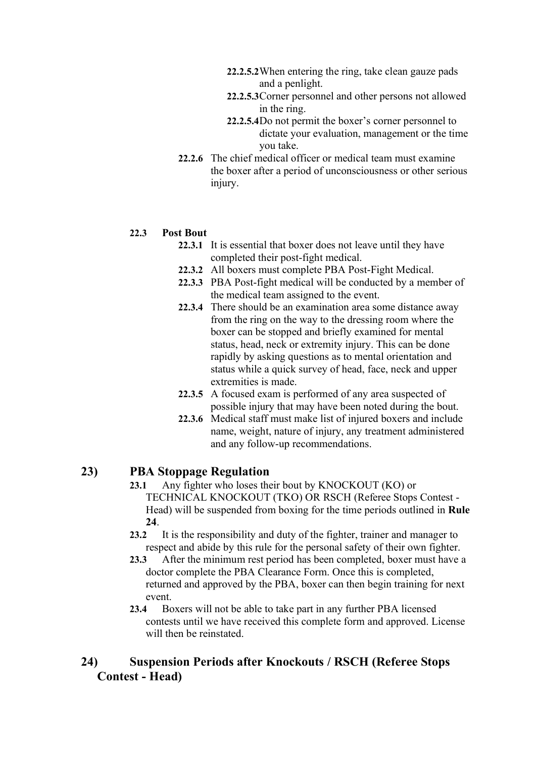- **22.2.5.2**When entering the ring, take clean gauze pads and a penlight.
- **22.2.5.3**Corner personnel and other persons not allowed in the ring.
- **22.2.5.4**Do not permit the boxer's corner personnel to dictate your evaluation, management or the time you take.
- **22.2.6** The chief medical officer or medical team must examine the boxer after a period of unconsciousness or other serious injury.

#### **22.3 Post Bout**

- **22.3.1** It is essential that boxer does not leave until they have completed their post-fight medical.
- **22.3.2** All boxers must complete PBA Post-Fight Medical.
- **22.3.3** PBA Post-fight medical will be conducted by a member of the medical team assigned to the event.
- **22.3.4** There should be an examination area some distance away from the ring on the way to the dressing room where the boxer can be stopped and briefly examined for mental status, head, neck or extremity injury. This can be done rapidly by asking questions as to mental orientation and status while a quick survey of head, face, neck and upper extremities is made.
- **22.3.5** A focused exam is performed of any area suspected of possible injury that may have been noted during the bout.
- **22.3.6** Medical staff must make list of injured boxers and include name, weight, nature of injury, any treatment administered and any follow-up recommendations.

## **23) PBA Stoppage Regulation**

- **23.1** Any fighter who loses their bout by KNOCKOUT (KO) or TECHNICAL KNOCKOUT (TKO) OR RSCH (Referee Stops Contest - Head) will be suspended from boxing for the time periods outlined in **Rule 24**.
- **23.2** It is the responsibility and duty of the fighter, trainer and manager to respect and abide by this rule for the personal safety of their own fighter.
- **23.3** After the minimum rest period has been completed, boxer must have a doctor complete the PBA Clearance Form. Once this is completed, returned and approved by the PBA, boxer can then begin training for next event.
- **23.4** Boxers will not be able to take part in any further PBA licensed contests until we have received this complete form and approved. License will then be reinstated.

## **24) Suspension Periods after Knockouts / RSCH (Referee Stops Contest - Head)**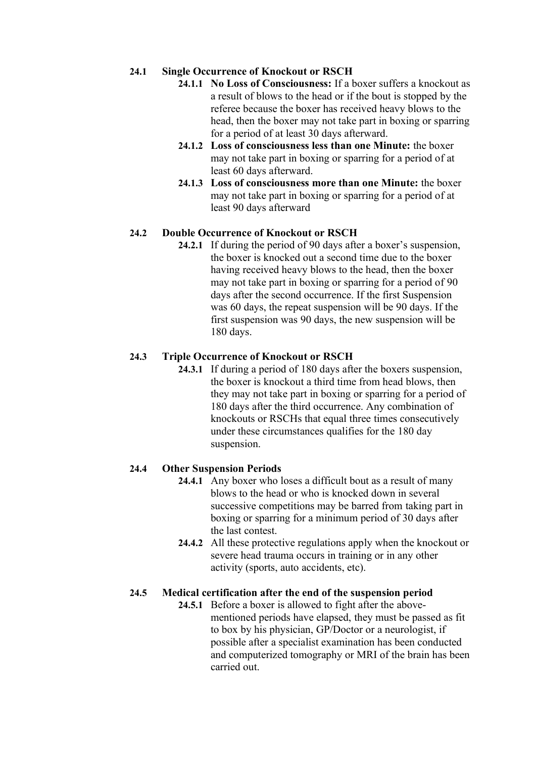#### **24.1 Single Occurrence of Knockout or RSCH**

- **24.1.1 No Loss of Consciousness:** If a boxer suffers a knockout as a result of blows to the head or if the bout is stopped by the referee because the boxer has received heavy blows to the head, then the boxer may not take part in boxing or sparring for a period of at least 30 days afterward.
- **24.1.2 Loss of consciousness less than one Minute:** the boxer may not take part in boxing or sparring for a period of at least 60 days afterward.
- **24.1.3 Loss of consciousness more than one Minute:** the boxer may not take part in boxing or sparring for a period of at least 90 days afterward

### **24.2 Double Occurrence of Knockout or RSCH**

**24.2.1** If during the period of 90 days after a boxer's suspension, the boxer is knocked out a second time due to the boxer having received heavy blows to the head, then the boxer may not take part in boxing or sparring for a period of 90 days after the second occurrence. If the first Suspension was 60 days, the repeat suspension will be 90 days. If the first suspension was 90 days, the new suspension will be 180 days.

### **24.3 Triple Occurrence of Knockout or RSCH**

**24.3.1** If during a period of 180 days after the boxers suspension, the boxer is knockout a third time from head blows, then they may not take part in boxing or sparring for a period of 180 days after the third occurrence. Any combination of knockouts or RSCHs that equal three times consecutively under these circumstances qualifies for the 180 day suspension.

#### **24.4 Other Suspension Periods**

- **24.4.1** Any boxer who loses a difficult bout as a result of many blows to the head or who is knocked down in several successive competitions may be barred from taking part in boxing or sparring for a minimum period of 30 days after the last contest.
- **24.4.2** All these protective regulations apply when the knockout or severe head trauma occurs in training or in any other activity (sports, auto accidents, etc).

## **24.5 Medical certification after the end of the suspension period**

**24.5.1** Before a boxer is allowed to fight after the abovementioned periods have elapsed, they must be passed as fit to box by his physician, GP/Doctor or a neurologist, if possible after a specialist examination has been conducted and computerized tomography or MRI of the brain has been carried out.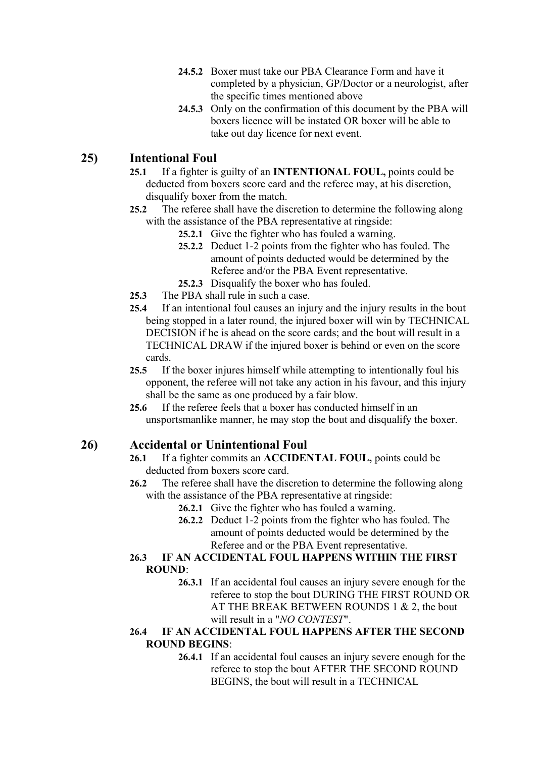- **24.5.2** Boxer must take our PBA Clearance Form and have it completed by a physician, GP/Doctor or a neurologist, after the specific times mentioned above
- **24.5.3** Only on the confirmation of this document by the PBA will boxers licence will be instated OR boxer will be able to take out day licence for next event.

## **25) Intentional Foul**

- **25.1** If a fighter is guilty of an **INTENTIONAL FOUL,** points could be deducted from boxers score card and the referee may, at his discretion, disqualify boxer from the match.
- **25.2** The referee shall have the discretion to determine the following along with the assistance of the PBA representative at ringside:
	- **25.2.1** Give the fighter who has fouled a warning.
	- **25.2.2** Deduct 1-2 points from the fighter who has fouled. The amount of points deducted would be determined by the Referee and/or the PBA Event representative.
	- **25.2.3** Disqualify the boxer who has fouled.
- **25.3** The PBA shall rule in such a case.
- **25.4** If an intentional foul causes an injury and the injury results in the bout being stopped in a later round, the injured boxer will win by TECHNICAL DECISION if he is ahead on the score cards; and the bout will result in a TECHNICAL DRAW if the injured boxer is behind or even on the score cards.
- **25.5** If the boxer injures himself while attempting to intentionally foul his opponent, the referee will not take any action in his favour, and this injury shall be the same as one produced by a fair blow.
- **25.6** If the referee feels that a boxer has conducted himself in an unsportsmanlike manner, he may stop the bout and disqualify the boxer.

## **26) Accidental or Unintentional Foul**

- **26.1** If a fighter commits an **ACCIDENTAL FOUL,** points could be deducted from boxers score card.
- **26.2** The referee shall have the discretion to determine the following along with the assistance of the PBA representative at ringside:
	- **26.2.1** Give the fighter who has fouled a warning.
	- **26.2.2** Deduct 1-2 points from the fighter who has fouled. The amount of points deducted would be determined by the Referee and or the PBA Event representative.

#### **26.3 IF AN ACCIDENTAL FOUL HAPPENS WITHIN THE FIRST ROUND**:

**26.3.1** If an accidental foul causes an injury severe enough for the referee to stop the bout DURING THE FIRST ROUND OR AT THE BREAK BETWEEN ROUNDS 1 & 2, the bout will result in a "*NO CONTEST*".

#### **26.4 IF AN ACCIDENTAL FOUL HAPPENS AFTER THE SECOND ROUND BEGINS**:

**26.4.1** If an accidental foul causes an injury severe enough for the referee to stop the bout AFTER THE SECOND ROUND BEGINS, the bout will result in a TECHNICAL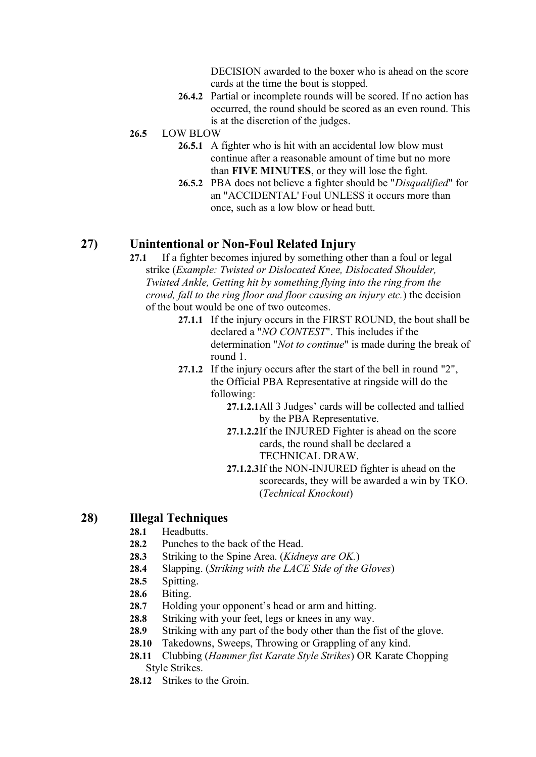DECISION awarded to the boxer who is ahead on the score cards at the time the bout is stopped.

**26.4.2** Partial or incomplete rounds will be scored. If no action has occurred, the round should be scored as an even round. This is at the discretion of the judges.

#### **26.5** LOW BLOW

- **26.5.1** A fighter who is hit with an accidental low blow must continue after a reasonable amount of time but no more than **FIVE MINUTES**, or they will lose the fight.
- **26.5.2** PBA does not believe a fighter should be "*Disqualified*" for an "ACCIDENTAL' Foul UNLESS it occurs more than once, such as a low blow or head butt.

### **27) Unintentional or Non-Foul Related Injury**

- **27.1** If a fighter becomes injured by something other than a foul or legal strike (*Example: Twisted or Dislocated Knee, Dislocated Shoulder, Twisted Ankle, Getting hit by something flying into the ring from the crowd, fall to the ring floor and floor causing an injury etc.*) the decision of the bout would be one of two outcomes.
	- **27.1.1** If the injury occurs in the FIRST ROUND, the bout shall be declared a "*NO CONTEST*". This includes if the determination "*Not to continue*" is made during the break of round 1.
	- **27.1.2** If the injury occurs after the start of the bell in round "2", the Official PBA Representative at ringside will do the following:
		- **27.1.2.1**All 3 Judges' cards will be collected and tallied by the PBA Representative.
		- **27.1.2.2**If the INJURED Fighter is ahead on the score cards, the round shall be declared a TECHNICAL DRAW.
		- **27.1.2.3**If the NON-INJURED fighter is ahead on the scorecards, they will be awarded a win by TKO. (*Technical Knockout*)

#### **28) Illegal Techniques**

- 28.1 Headbutts.
- **28.2** Punches to the back of the Head.
- **28.3** Striking to the Spine Area. (*Kidneys are OK.*)
- **28.4** Slapping. (*Striking with the LACE Side of the Gloves*)
- **28.5** Spitting.
- **28.6** Biting.
- **28.7** Holding your opponent's head or arm and hitting.
- 28.8 Striking with your feet, legs or knees in any way.
- **28.9** Striking with any part of the body other than the fist of the glove.
- **28.10** Takedowns, Sweeps, Throwing or Grappling of any kind.
- **28.11** Clubbing (*Hammer fist Karate Style Strikes*) OR Karate Chopping Style Strikes.
- 28.12 Strikes to the Groin.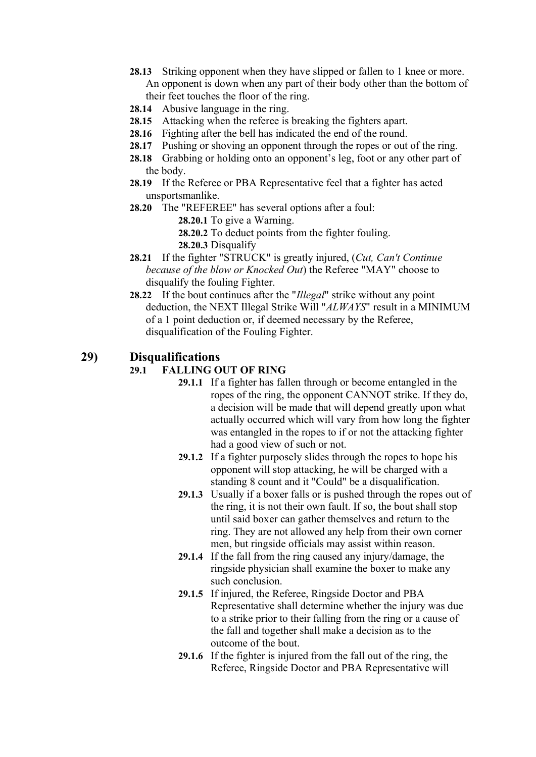- **28.13** Striking opponent when they have slipped or fallen to 1 knee or more. An opponent is down when any part of their body other than the bottom of their feet touches the floor of the ring.
- **28.14** Abusive language in the ring.
- **28.15** Attacking when the referee is breaking the fighters apart.
- **28.16** Fighting after the bell has indicated the end of the round.
- **28.17** Pushing or shoving an opponent through the ropes or out of the ring.
- **28.18** Grabbing or holding onto an opponent's leg, foot or any other part of the body.
- **28.19** If the Referee or PBA Representative feel that a fighter has acted unsportsmanlike.
- **28.20** The "REFEREE" has several options after a foul:
	- **28.20.1** To give a Warning.
	- **28.20.2** To deduct points from the fighter fouling.
	- **28.20.3** Disqualify
- **28.21** If the fighter "STRUCK" is greatly injured, (*Cut, Can't Continue because of the blow or Knocked Out*) the Referee "MAY" choose to disqualify the fouling Fighter.
- **28.22** If the bout continues after the "*Illegal*" strike without any point deduction, the NEXT Illegal Strike Will "*ALWAYS*" result in a MINIMUM of a 1 point deduction or, if deemed necessary by the Referee, disqualification of the Fouling Fighter.

## **29) Disqualifications**

### **29.1 FALLING OUT OF RING**

- **29.1.1** If a fighter has fallen through or become entangled in the ropes of the ring, the opponent CANNOT strike. If they do, a decision will be made that will depend greatly upon what actually occurred which will vary from how long the fighter was entangled in the ropes to if or not the attacking fighter had a good view of such or not.
- 29.1.2 If a fighter purposely slides through the ropes to hope his opponent will stop attacking, he will be charged with a standing 8 count and it "Could" be a disqualification.
- **29.1.3** Usually if a boxer falls or is pushed through the ropes out of the ring, it is not their own fault. If so, the bout shall stop until said boxer can gather themselves and return to the ring. They are not allowed any help from their own corner men, but ringside officials may assist within reason.
- **29.1.4** If the fall from the ring caused any injury/damage, the ringside physician shall examine the boxer to make any such conclusion.
- **29.1.5** If injured, the Referee, Ringside Doctor and PBA Representative shall determine whether the injury was due to a strike prior to their falling from the ring or a cause of the fall and together shall make a decision as to the outcome of the bout.
- **29.1.6** If the fighter is injured from the fall out of the ring, the Referee, Ringside Doctor and PBA Representative will